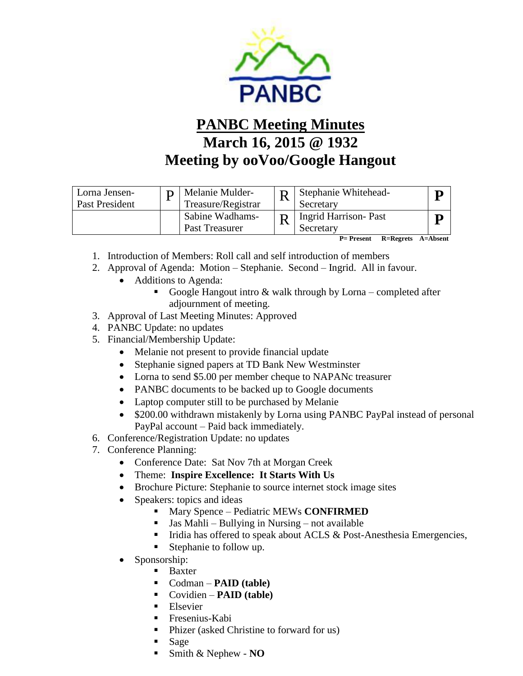

## **PANBC Meeting Minutes March 16, 2015 @ 1932 Meeting by ooVoo/Google Hangout**

| Lorna Jensen-<br>Past President | Melanie Mulder-<br>Treasure/Registrar | Stephanie Whitehead-<br>Secretary        |  |
|---------------------------------|---------------------------------------|------------------------------------------|--|
|                                 | Sabine Wadhams-<br>Past Treasurer     | Ingrid Harrison- Past<br>Secretary       |  |
|                                 |                                       | R=Regrets A=Absent<br><b>P</b> = Present |  |

- 1. Introduction of Members: Roll call and self introduction of members
- 2. Approval of Agenda: Motion Stephanie. Second Ingrid. All in favour.
	- Additions to Agenda:
		- Google Hangout intro  $\&$  walk through by Lorna completed after adjournment of meeting.
- 3. Approval of Last Meeting Minutes: Approved
- 4. PANBC Update: no updates
- 5. Financial/Membership Update:
	- Melanie not present to provide financial update
	- Stephanie signed papers at TD Bank New Westminster
	- Lorna to send \$5.00 per member cheque to NAPANc treasurer
	- PANBC documents to be backed up to Google documents
	- Laptop computer still to be purchased by Melanie
	- \$200.00 withdrawn mistakenly by Lorna using PANBC PayPal instead of personal PayPal account – Paid back immediately.
- 6. Conference/Registration Update: no updates
- 7. Conference Planning:
	- Conference Date: Sat Nov 7th at Morgan Creek
	- Theme: **Inspire Excellence: It Starts With Us**
	- Brochure Picture: Stephanie to source internet stock image sites
	- Speakers: topics and ideas
		- **Mary Spence Pediatric MEWs CONFIRMED**
		- $\blacksquare$  Jas Mahli Bullying in Nursing not available
		- $\blacksquare$  Iridia has offered to speak about ACLS & Post-Anesthesia Emergencies,
		- Stephanie to follow up.
	- Sponsorship:
		- **Baxter**
		- Codman **PAID (table)**
		- Covidien **PAID (table)**
		- **Elsevier**
		- Fresenius-Kabi
		- Phizer (asked Christine to forward for us)
		- Sage
		- Smith & Nephew **NO**